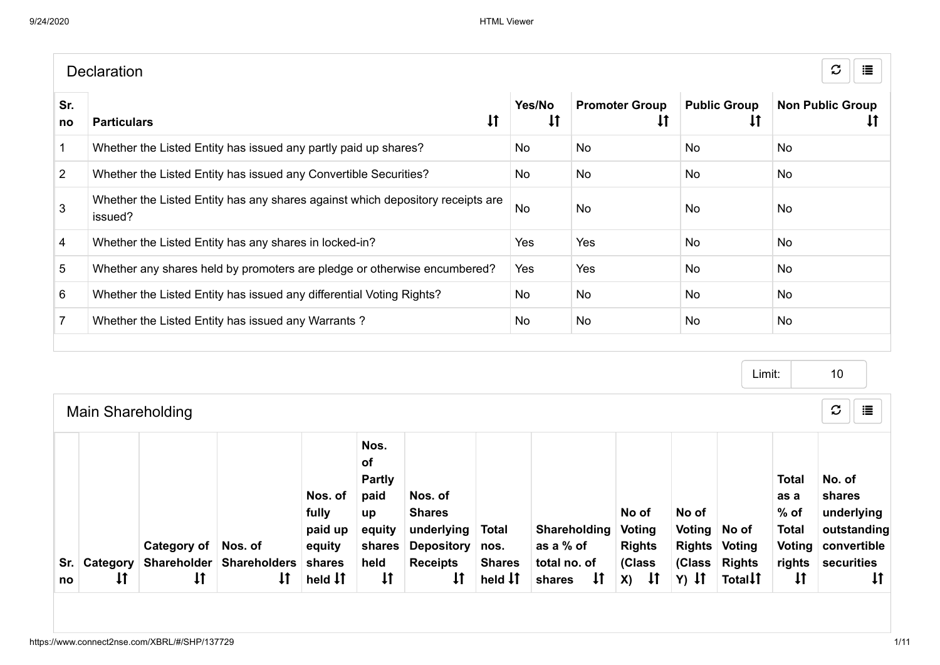|                | <b>Declaration</b>                                                                        |                        |                                       |                                     | $\mathcal{C}$<br>這            |
|----------------|-------------------------------------------------------------------------------------------|------------------------|---------------------------------------|-------------------------------------|-------------------------------|
| Sr.<br>no      | $\downarrow$<br><b>Particulars</b>                                                        | Yes/No<br>$\downarrow$ | <b>Promoter Group</b><br>$\downarrow$ | <b>Public Group</b><br>$\downarrow$ | <b>Non Public Group</b><br>τI |
|                | Whether the Listed Entity has issued any partly paid up shares?                           | No                     | <b>No</b>                             | <b>No</b>                           | No                            |
| $\overline{2}$ | Whether the Listed Entity has issued any Convertible Securities?                          | No                     | No                                    | No.                                 | No                            |
| 3              | Whether the Listed Entity has any shares against which depository receipts are<br>issued? | <b>No</b>              | <b>No</b>                             | <b>No</b>                           | No                            |
| $\overline{4}$ | Whether the Listed Entity has any shares in locked-in?                                    | Yes                    | Yes                                   | <b>No</b>                           | <b>No</b>                     |
| 5              | Whether any shares held by promoters are pledge or otherwise encumbered?                  | Yes                    | Yes                                   | <b>No</b>                           | No                            |
| 6              | Whether the Listed Entity has issued any differential Voting Rights?                      | No.                    | <b>No</b>                             | <b>No</b>                           | No                            |
| $\overline{7}$ | Whether the Listed Entity has issued any Warrants?                                        | No.                    | No                                    | No.                                 | No                            |
|                |                                                                                           |                        |                                       |                                     |                               |

|     |                          |              |                                     |                                                 |                                                                       |                                                                                |                                       |                                           |                                            |                                   |                                       | Limit:                                                                    | 10                                                                                         |
|-----|--------------------------|--------------|-------------------------------------|-------------------------------------------------|-----------------------------------------------------------------------|--------------------------------------------------------------------------------|---------------------------------------|-------------------------------------------|--------------------------------------------|-----------------------------------|---------------------------------------|---------------------------------------------------------------------------|--------------------------------------------------------------------------------------------|
|     | <b>Main Shareholding</b> |              |                                     |                                                 |                                                                       |                                                                                |                                       |                                           |                                            |                                   |                                       |                                                                           | $\mathbf C$<br>這                                                                           |
| Sr. | <b>Category</b> I        | Category of  | Nos. of<br>Shareholder Shareholders | Nos. of<br>fully<br>paid up<br>equity<br>shares | Nos.<br>of<br><b>Partly</b><br>paid<br>up<br>equity<br>shares<br>held | Nos. of<br><b>Shares</b><br>underlying<br><b>Depository</b><br><b>Receipts</b> | <b>Total</b><br>nos.<br><b>Shares</b> | Shareholding<br>as a % of<br>total no. of | No of<br>Voting<br><b>Rights</b><br>(Class | No of<br>Voting   No of<br>(Class | <b>Rights Voting</b><br><b>Rights</b> | <b>Total</b><br>as a<br>$%$ of<br><b>Total</b><br><b>Voting</b><br>rights | No. of<br>shares<br>underlying<br>outstanding<br>convertible<br>securities<br>$\downarrow$ |
| no  | $\downarrow$             | $\downarrow$ | ļţ                                  | held $\downarrow$ $\uparrow$                    | $\downarrow$                                                          | $\downarrow$                                                                   | held <b>I</b> T                       | $\downarrow$<br>shares                    | - Lf<br>X)                                 |                                   | $Y)$ It                               | Totall                                                                    | $\downarrow$                                                                               |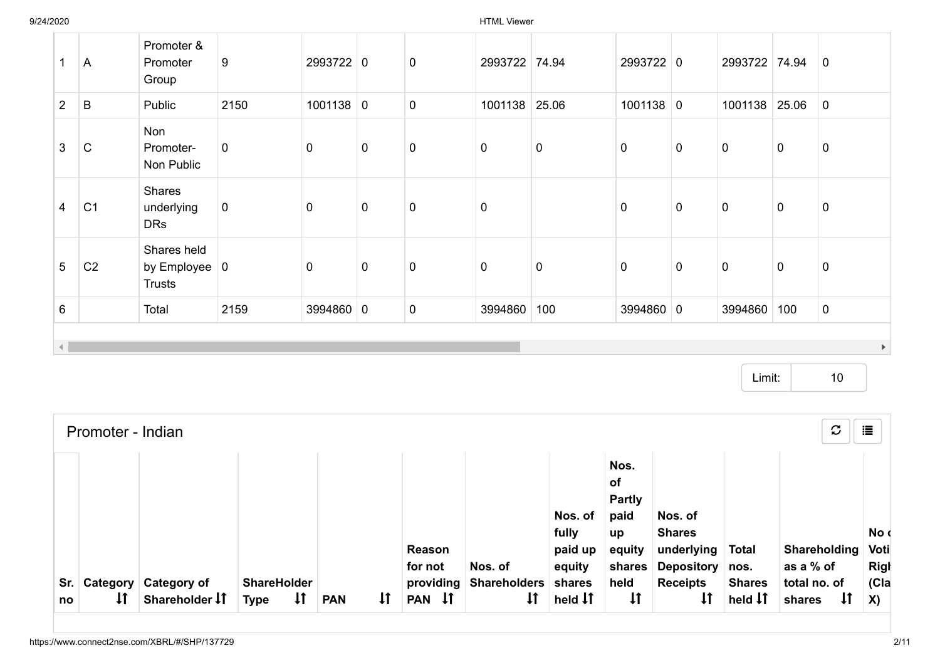9/24/2020 HTML Viewer

| 1                      | A              | Promoter &<br>Promoter<br>Group                             | 9           | 2993722 0   |             | $\mathbf 0$ | 2993722 74.94 |           | 2993722 0   |             | 2993722 74.94 |             | $\mathbf 0$           |
|------------------------|----------------|-------------------------------------------------------------|-------------|-------------|-------------|-------------|---------------|-----------|-------------|-------------|---------------|-------------|-----------------------|
| $2^{\circ}$            | B              | Public                                                      | 2150        | $1001138$ 0 |             | $\pmb{0}$   | 1001138       | 25.06     | $1001138$ 0 |             | 1001138       | 25.06       | $\overline{0}$        |
| $\mathbf{3}$           | $\mathsf{C}$   | Non<br>Promoter-<br>Non Public                              | $\mathbf 0$ | $\mathbf 0$ | $\mathbf 0$ | $\mathbf 0$ | $\pmb{0}$     | $\pmb{0}$ | $\mathbf 0$ | $\mathbf 0$ | $\mathbf 0$   | $\mathbf 0$ | $\pmb{0}$             |
| $\overline{4}$         | C <sub>1</sub> | Shares<br>underlying<br><b>DRs</b>                          | $\mathbf 0$ | $\mathbf 0$ | $\mathbf 0$ | $\pmb{0}$   | $\pmb{0}$     |           | $\mathbf 0$ | $\mathbf 0$ | $\mathbf 0$   | $\mathbf 0$ | $\pmb{0}$             |
| $5\phantom{.0}$        | C <sub>2</sub> | Shares held<br>by Employee $\vert 0 \vert$<br><b>Trusts</b> |             | $\mathbf 0$ | $\pmb{0}$   | $\pmb{0}$   | $\pmb{0}$     | $\pmb{0}$ | $\mathbf 0$ | $\mathbf 0$ | $\mathbf 0$   | $\mathbf 0$ | $\pmb{0}$             |
| $6\phantom{1}$         |                | Total                                                       | 2159        | 3994860 0   |             | 0           | 3994860       | 100       | 3994860 0   |             | 3994860       | 100         | $\mathbf 0$           |
| $\left  \cdot \right $ |                |                                                             |             |             |             |             |               |           |             |             |               |             | $\blacktriangleright$ |

Limit: 10

|             | Promoter - Indian  |                                               |                                                   |            |              |                     |                                   |                                       |                                                                      |                                                             |                                             | $\mathcal{C}$                                | 這                           |
|-------------|--------------------|-----------------------------------------------|---------------------------------------------------|------------|--------------|---------------------|-----------------------------------|---------------------------------------|----------------------------------------------------------------------|-------------------------------------------------------------|---------------------------------------------|----------------------------------------------|-----------------------------|
|             |                    |                                               |                                                   |            |              | Reason<br>for not   | Nos. of                           | Nos. of<br>fully<br>paid up<br>equity | Nos.<br><b>of</b><br><b>Partly</b><br>paid<br>up<br>equity<br>shares | Nos. of<br><b>Shares</b><br>underlying<br>Depository   nos. | <b>Total</b>                                | Shareholding<br>as a % of                    | No d<br>Voti<br><b>Righ</b> |
| Sr. I<br>no | $\pmb{\downarrow}$ | <b>Category Category of</b><br>Shareholder IT | <b>ShareHolder</b><br>$\downarrow$<br><b>Type</b> | <b>PAN</b> | $\mathsf{1}$ | providing<br>PAN IT | <b>Shareholders</b><br>$\ddagger$ | shares<br>held $\downarrow \uparrow$  | held<br>$\pmb{\downarrow}$                                           | <b>Receipts</b>                                             | <b>Shares</b><br>held $\downarrow \uparrow$ | total no. of<br>$\pmb{\downarrow}$<br>shares | C a<br><b>X</b> )           |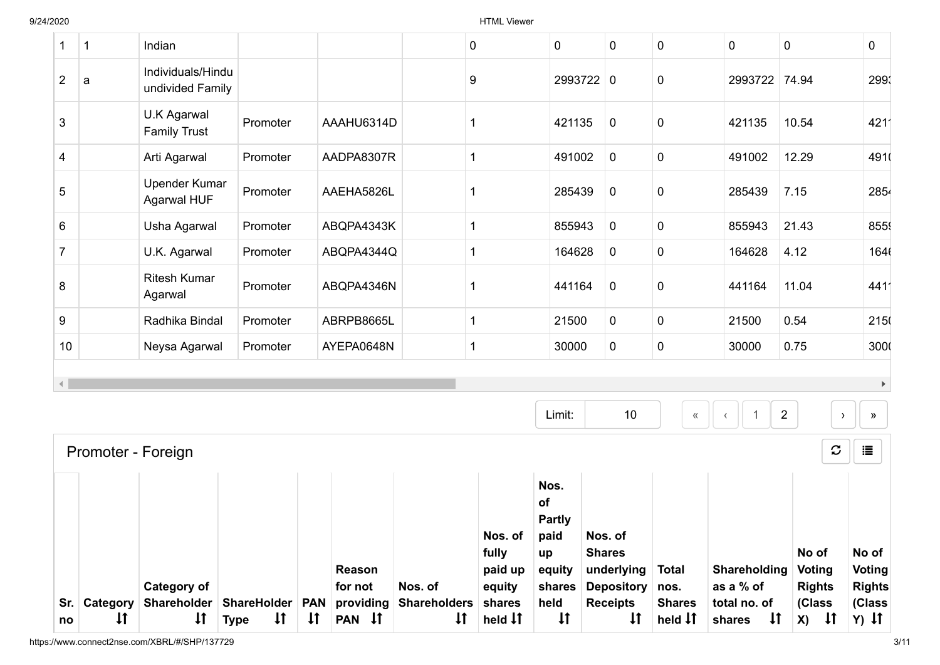|                |              |                                       |          |            |             | Nos. of<br>fully | Nos.<br>of<br><b>Partly</b><br>paid<br>up | Nos. of<br><b>Shares</b> |                  |               | No of                           | No of                                  |
|----------------|--------------|---------------------------------------|----------|------------|-------------|------------------|-------------------------------------------|--------------------------|------------------|---------------|---------------------------------|----------------------------------------|
|                |              | Promoter - Foreign                    |          |            |             |                  |                                           |                          |                  |               | $\boldsymbol{\mathcal{C}}$      | 這                                      |
|                |              |                                       |          |            |             |                  | Limit:                                    | 10                       | $\langle\langle$ |               | $\overline{2}$<br>$\rightarrow$ | $\blacktriangleright$<br>$\rightarrow$ |
| 10             |              | Neysa Agarwal                         | Promoter | AYEPA0648N | 1           |                  | 30000                                     | $\mathbf 0$              | $\pmb{0}$        | 30000         | 0.75                            | 3000                                   |
| 9              |              | Radhika Bindal                        | Promoter | ABRPB8665L | 1           |                  | 21500                                     | $\mathbf 0$              | $\mathbf 0$      | 21500         | 0.54                            | 215                                    |
| 8              |              | <b>Ritesh Kumar</b><br>Agarwal        | Promoter | ABQPA4346N | -1          |                  | 441164                                    | $\mathbf 0$              | $\pmb{0}$        | 441164        | 11.04                           | 4411                                   |
| $\overline{7}$ |              | U.K. Agarwal                          | Promoter | ABQPA4344Q | 1           |                  | 164628                                    | $\mathbf 0$              | $\pmb{0}$        | 164628        | 4.12                            | 1646                                   |
| 6              |              | Usha Agarwal                          | Promoter | ABQPA4343K | 1           |                  | 855943                                    | $\mathbf 0$              | $\pmb{0}$        | 855943        | 21.43                           | 855                                    |
| 5              |              | <b>Upender Kumar</b><br>Agarwal HUF   | Promoter | AAEHA5826L |             |                  | 285439                                    | $\mathbf 0$              | $\pmb{0}$        | 285439        | 7.15                            | 2854                                   |
| 4              |              | Arti Agarwal                          | Promoter | AADPA8307R | $\mathbf 1$ |                  | 491002                                    | $\mathbf 0$              | $\pmb{0}$        | 491002        | 12.29                           | 4910                                   |
| 3              |              | U.K Agarwal<br><b>Family Trust</b>    | Promoter | AAAHU6314D | -1          |                  | 421135                                    | $\mathbf 0$              | 0                | 421135        | 10.54                           | 4211                                   |
| $\overline{2}$ | a            | Individuals/Hindu<br>undivided Family |          |            | 9           |                  |                                           | 2993722 0                | 0                | 2993722 74.94 |                                 | 299                                    |
| $\mathbf 1$    | $\mathbf{1}$ | Indian                                |          |            | 0           |                  | $\mathbf 0$                               | $\pmb{0}$                | $\pmb{0}$        | $\mathbf 0$   | $\mathbf 0$                     | 0                                      |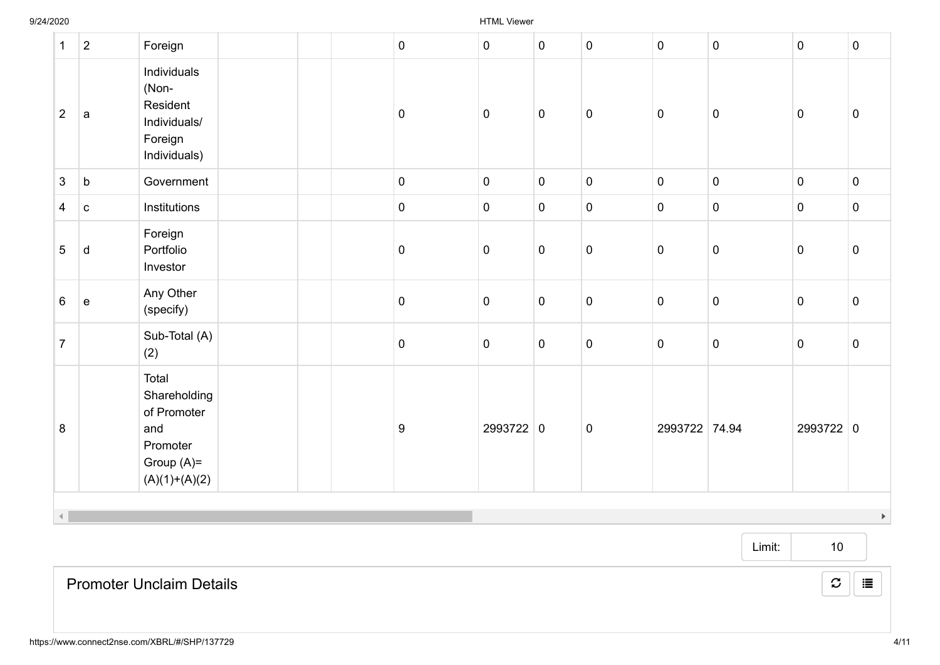| $\mathbf{1}$   | $\boldsymbol{2}$ | Foreign                                                                                    | $\overline{0}$   | $\overline{0}$ | $\mathbf 0$ | $\pmb{0}$ | $\mathbf 0$    | $\mathbf 0$ | $\pmb{0}$   | $\mathbf 0$           |
|----------------|------------------|--------------------------------------------------------------------------------------------|------------------|----------------|-------------|-----------|----------------|-------------|-------------|-----------------------|
| $\overline{2}$ | a                | Individuals<br>(Non-<br>Resident<br>Individuals/<br>Foreign<br>Individuals)                | $\pmb{0}$        | $\mathbf 0$    | $\pmb{0}$   | $\pmb{0}$ | $\mathbf 0$    | $\pmb{0}$   | $\pmb{0}$   | $\boldsymbol{0}$      |
| $\mathbf{3}$   | $\mathsf b$      | Government                                                                                 | $\overline{0}$   | $\overline{0}$ | $\pmb{0}$   | $\pmb{0}$ | $\overline{0}$ | $\pmb{0}$   | $\pmb{0}$   | $\mathbf 0$           |
| $\overline{4}$ | ${\bf c}$        | Institutions                                                                               | $\mathbf 0$      | $\mathbf 0$    | $\pmb{0}$   | $\pmb{0}$ | $\mathbf 0$    | $\pmb{0}$   | $\pmb{0}$   | $\mathbf 0$           |
| 5              | $\mathsf{d}$     | Foreign<br>Portfolio<br>Investor                                                           | $\pmb{0}$        | $\mathbf 0$    | $\pmb{0}$   | $\pmb{0}$ | $\mathbf 0$    | $\mathbf 0$ | $\pmb{0}$   | $\mathbf 0$           |
| $6\phantom{1}$ | $\mathbf e$      | Any Other<br>(specify)                                                                     | $\mathbf 0$      | $\mathsf 0$    | $\pmb{0}$   | $\pmb{0}$ | $\mathbf 0$    | $\pmb{0}$   | $\pmb{0}$   | $\pmb{0}$             |
| $\overline{7}$ |                  | Sub-Total (A)<br>(2)                                                                       | $\mathbf 0$      | $\mathbf 0$    | $\pmb{0}$   | $\pmb{0}$ | $\mathbf 0$    | $\pmb{0}$   | $\mathbf 0$ | $\mathsf 0$           |
| 8              |                  | Total<br>Shareholding<br>of Promoter<br>and<br>Promoter<br>Group $(A)=$<br>$(A)(1)+(A)(2)$ | $\boldsymbol{9}$ | 2993722 0      |             | $\pmb{0}$ | 2993722 74.94  |             | 2993722 0   |                       |
| $\left($       |                  |                                                                                            |                  |                |             |           |                |             |             | $\blacktriangleright$ |

Limit: 10

Promoter Unclaim Details

 $\mathcal{C} \parallel \mathbf{E}$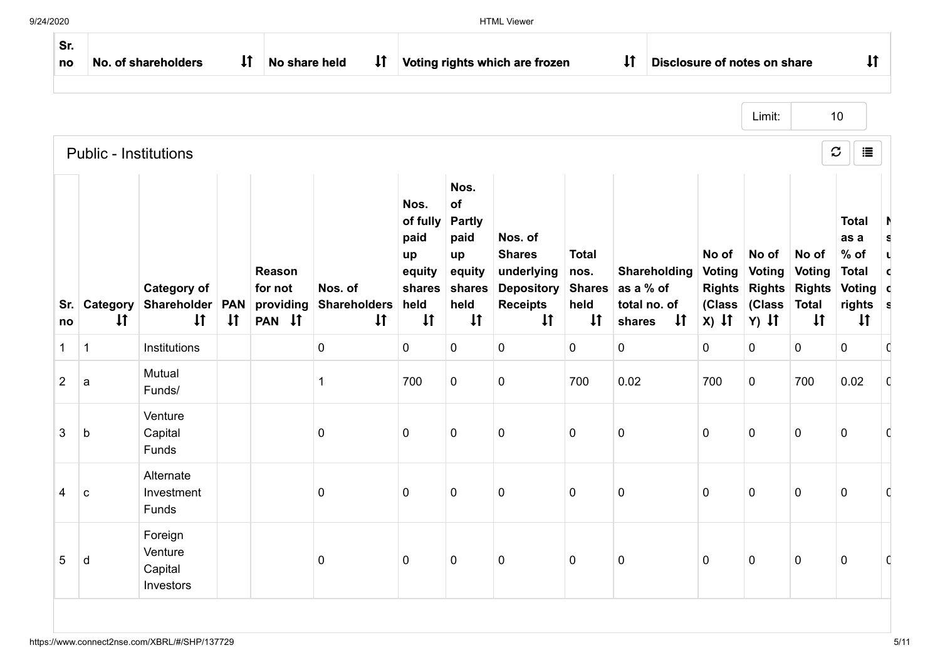| Sr.<br>no      |                              | No. of shareholders                               | $\downarrow$               | No share held                            | $\downarrow$                                   |                                                                            |                                                                                       | Voting rights which are frozen                                                                 |                                              | $\downarrow$<br>Disclosure of notes on share                               |                                                              |                                                              |                                                                         | $\downarrow$                                                                           |             |
|----------------|------------------------------|---------------------------------------------------|----------------------------|------------------------------------------|------------------------------------------------|----------------------------------------------------------------------------|---------------------------------------------------------------------------------------|------------------------------------------------------------------------------------------------|----------------------------------------------|----------------------------------------------------------------------------|--------------------------------------------------------------|--------------------------------------------------------------|-------------------------------------------------------------------------|----------------------------------------------------------------------------------------|-------------|
|                |                              |                                                   |                            |                                          |                                                |                                                                            |                                                                                       |                                                                                                |                                              |                                                                            |                                                              | Limit:                                                       |                                                                         | 10                                                                                     |             |
|                | <b>Public - Institutions</b> |                                                   |                            |                                          |                                                |                                                                            |                                                                                       |                                                                                                |                                              |                                                                            |                                                              |                                                              |                                                                         | $\mathbf c$<br>這                                                                       |             |
| Sr.<br>no      | Category<br>$\downarrow$     | <b>Category of</b><br>Shareholder<br>$\downarrow$ | <b>PAN</b><br>$\downarrow$ | Reason<br>for not<br>providing<br>PAN 11 | Nos. of<br><b>Shareholders</b><br>$\downarrow$ | Nos.<br>of fully<br>paid<br>up<br>equity<br>shares<br>held<br>$\downarrow$ | Nos.<br>of<br><b>Partly</b><br>paid<br>up<br>equity<br>shares<br>held<br>$\downarrow$ | Nos. of<br><b>Shares</b><br>underlying<br><b>Depository</b><br><b>Receipts</b><br>$\downarrow$ | <b>Total</b><br>nos.<br>held<br>$\downarrow$ | Shareholding<br>Shares as a % of<br>total no. of<br>$\downarrow$<br>shares | No of<br><b>Voting</b><br><b>Rights</b><br>(Class<br>$x)$ It | No of<br><b>Voting</b><br><b>Rights</b><br>(Class<br>$Y)$ It | No of<br><b>Voting</b><br><b>Rights</b><br><b>Total</b><br>$\downarrow$ | <b>Total</b><br>as a<br>$%$ of<br><b>Total</b><br>Voting c<br>rights s<br>$\downarrow$ | s<br>U<br>C |
| $\mathbf{1}$   | $\mathbf{1}$                 | Institutions                                      |                            |                                          | 0                                              | $\mathbf 0$                                                                | 0                                                                                     | $\mathbf 0$                                                                                    | $\mathbf 0$                                  | $\mathbf 0$                                                                | $\mathbf 0$                                                  | $\mathbf 0$                                                  | 0                                                                       | $\pmb{0}$                                                                              | C           |
| $\overline{2}$ | $\mathsf{a}$                 | Mutual<br>Funds/                                  |                            |                                          | 1                                              | 700                                                                        | $\mathbf 0$                                                                           | $\mathbf 0$                                                                                    | 700                                          | 0.02                                                                       | 700                                                          | $\mathbf 0$                                                  | 700                                                                     | 0.02                                                                                   | C           |
| 3              | b                            | Venture<br>Capital<br>Funds                       |                            |                                          | $\mathbf 0$                                    | $\mathbf 0$                                                                | $\mathbf 0$                                                                           | $\mathbf 0$                                                                                    | $\mathbf 0$                                  | $\mathbf 0$                                                                | $\mathbf 0$                                                  | $\mathbf 0$                                                  | $\pmb{0}$                                                               | $\pmb{0}$                                                                              | C           |
| 4              | $\mathbf{C}$                 | Alternate<br>Investment<br>Funds                  |                            |                                          | 0                                              | $\mathbf 0$                                                                | 0                                                                                     | $\mathbf 0$                                                                                    | 0                                            | $\mathbf 0$                                                                | $\mathbf 0$                                                  | $\mathbf 0$                                                  | $\mathbf 0$                                                             | 0                                                                                      | C           |
| 5              | d                            | Foreign<br>Venture<br>Capital<br>Investors        |                            |                                          | 0                                              | $\mathbf 0$                                                                | $\mathbf 0$                                                                           | $\mathbf 0$                                                                                    | 0                                            | $\pmb{0}$                                                                  | $\mathbf 0$                                                  | $\mathsf 0$                                                  | $\pmb{0}$                                                               | $\pmb{0}$                                                                              | O           |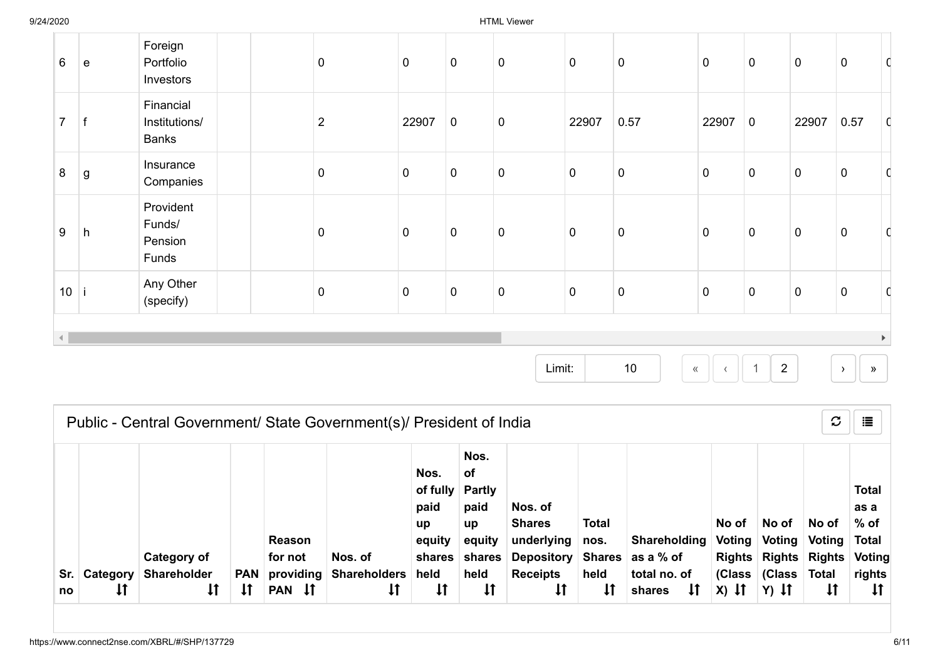| $6\phantom{1}$ | $\mathbf e$ | Foreign<br>Portfolio<br>Investors          | $\mathbf 0$    | $\mathsf 0$ | $\pmb{0}$   | $\pmb{0}$   | $\overline{0}$ | $\pmb{0}$   | $\mathbf 0$    | $\pmb{0}$   | $\pmb{0}$   | $\overline{0}$   | C                     |
|----------------|-------------|--------------------------------------------|----------------|-------------|-------------|-------------|----------------|-------------|----------------|-------------|-------------|------------------|-----------------------|
| $\overline{7}$ |             | Financial<br>Institutions/<br><b>Banks</b> | $\overline{2}$ | 22907       | $\mathbf 0$ | $\mathbf 0$ | 22907          | 0.57        | 22907          | $\mathbf 0$ | 22907       | 0.57             | $\mathsf{C}$          |
| 8              | $\mathsf g$ | Insurance<br>Companies                     | $\pmb{0}$      | $\pmb{0}$   | $\pmb{0}$   | $\pmb{0}$   | $\pmb{0}$      | $\pmb{0}$   | $\overline{0}$ | $\pmb{0}$   | $\pmb{0}$   | $\boldsymbol{0}$ |                       |
| 9              | h           | Provident<br>Funds/<br>Pension<br>Funds    | $\mathbf 0$    | $\pmb{0}$   | $\pmb{0}$   | $\pmb{0}$   | $\mathbf 0$    | $\pmb{0}$   | $\mathbf 0$    | $\pmb{0}$   | $\pmb{0}$   | $\overline{0}$   |                       |
| 10             |             | Any Other<br>(specify)                     | $\overline{0}$ | $\pmb{0}$   | $\pmb{0}$   | $\pmb{0}$   | $\overline{0}$ | $\mathbf 0$ | $\overline{0}$ | $\pmb{0}$   | $\mathbf 0$ | $\overline{0}$   | C                     |
| $\left($       |             |                                            |                |             |             |             |                |             |                |             |             |                  | $\blacktriangleright$ |

Limit:

10  $\| \cdot \| \cdot \|$  1 2  $\| \cdot \|$  »

|             |                |                                                         |                                  |                                                              |                                                      |                                                                        |                                                                                             |                                                                                                      |                                              | $\mathbf C$<br>這<br>Public - Central Government/ State Government(s)/ President of India |                            |                                           |                                                                         |                                                                   |  |  |  |  |  |  |  |  |  |  |
|-------------|----------------|---------------------------------------------------------|----------------------------------|--------------------------------------------------------------|------------------------------------------------------|------------------------------------------------------------------------|---------------------------------------------------------------------------------------------|------------------------------------------------------------------------------------------------------|----------------------------------------------|------------------------------------------------------------------------------------------|----------------------------|-------------------------------------------|-------------------------------------------------------------------------|-------------------------------------------------------------------|--|--|--|--|--|--|--|--|--|--|
| Sr. I<br>no | Category<br>Įţ | Category of<br><b>Shareholder</b><br>$\pmb{\downarrow}$ | <b>PAN</b><br>$\pmb{\downarrow}$ | Reason<br>for not<br>providing<br>$\mathsf{I}$<br><b>PAN</b> | Nos. of<br><b>Shareholders</b><br>$\pmb{\downarrow}$ | Nos.<br>of fully<br>paid<br>up<br>equity<br>shares<br>held<br>$\sharp$ | Nos.<br>οf<br><b>Partly</b><br>paid<br>up<br>equity<br>shares<br>held<br>$\pmb{\downarrow}$ | Nos. of<br><b>Shares</b><br>underlying<br><b>Depository</b><br><b>Receipts</b><br>$\pmb{\downarrow}$ | <b>Total</b><br>nos.<br>held<br>$\downarrow$ | Shareholding<br>Shares as a % of<br>total no. of<br>$\downarrow$<br>shares               | No of<br>Voting<br>$x)$ If | No of<br>Voting<br>(Class (Class<br>Y) It | No of<br>Voting<br>Rights Rights Rights Voting<br>Total<br>$\downarrow$ | <b>Total</b><br>as a<br>% of<br>∣ Total<br>rights<br>$\downarrow$ |  |  |  |  |  |  |  |  |  |  |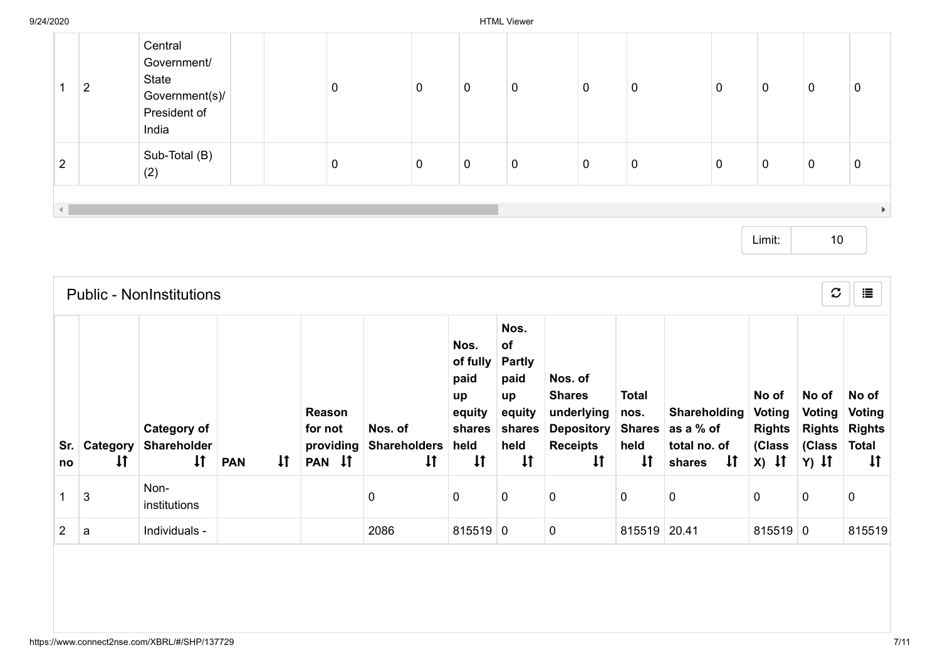|                | າ<br>∠ | Central<br>Government/<br>State<br>Government(s)/<br>President of<br>India | 0 | 0           | 0 | 0           | 0           | 0           | $\mathbf{0}$ | $\mathbf 0$ | 0           | 0 |
|----------------|--------|----------------------------------------------------------------------------|---|-------------|---|-------------|-------------|-------------|--------------|-------------|-------------|---|
| $\overline{2}$ |        | Sub-Total (B)<br>(2)                                                       | 0 | $\mathbf 0$ | 0 | $\mathbf 0$ | $\mathbf 0$ | $\mathbf 0$ | 0            | $\mathbf 0$ | $\mathbf 0$ | 0 |
|                |        |                                                                            |   |             |   |             |             |             |              |             |             |   |

Limit: 10

|    |                              | <b>Public - NonInstitutions</b>                          |                            |                                          |                                                |                                                                            |                                                                                       |                                                                                                |                                                               |                                                                     |                                                              | $\mathfrak{S}$                                        | 這                                                                |
|----|------------------------------|----------------------------------------------------------|----------------------------|------------------------------------------|------------------------------------------------|----------------------------------------------------------------------------|---------------------------------------------------------------------------------------|------------------------------------------------------------------------------------------------|---------------------------------------------------------------|---------------------------------------------------------------------|--------------------------------------------------------------|-------------------------------------------------------|------------------------------------------------------------------|
| no | Sr. Category<br>$\downarrow$ | <b>Category of</b><br><b>Shareholder</b><br>$\downarrow$ | $\downarrow$<br><b>PAN</b> | Reason<br>for not<br>providing<br>PAN IT | Nos. of<br><b>Shareholders</b><br>$\downarrow$ | Nos.<br>of fully<br>paid<br>up<br>equity<br>shares<br>held<br>$\downarrow$ | Nos.<br>of<br><b>Partly</b><br>paid<br>up<br>equity<br>shares<br>held<br>$\downarrow$ | Nos. of<br><b>Shares</b><br>underlying<br><b>Depository</b><br><b>Receipts</b><br>$\downarrow$ | <b>Total</b><br>nos.<br><b>Shares</b><br>held<br>$\downarrow$ | Shareholding<br>as a % of<br>total no. of<br>$\downarrow$<br>shares | No of<br><b>Voting</b><br><b>Rights</b><br>(Class<br>$X)$ If | No of<br>Voting<br><b>Rights</b><br>(Class<br>$Y)$ It | No of<br>Voting<br><b>Rights</b><br><b>Total</b><br>$\downarrow$ |
|    | 3                            | Non-<br>institutions                                     |                            |                                          | $\mathbf 0$                                    | 0                                                                          | $\mathbf 0$                                                                           | $\mathbf 0$                                                                                    | 0                                                             | $\mathbf 0$                                                         | 0                                                            | 0                                                     | 0                                                                |
| 2  | a                            | Individuals -                                            |                            |                                          | 2086                                           | $815519$ 0                                                                 |                                                                                       | $\pmb{0}$                                                                                      | 815519                                                        | 20.41                                                               | $815519$ 0                                                   |                                                       | 815519                                                           |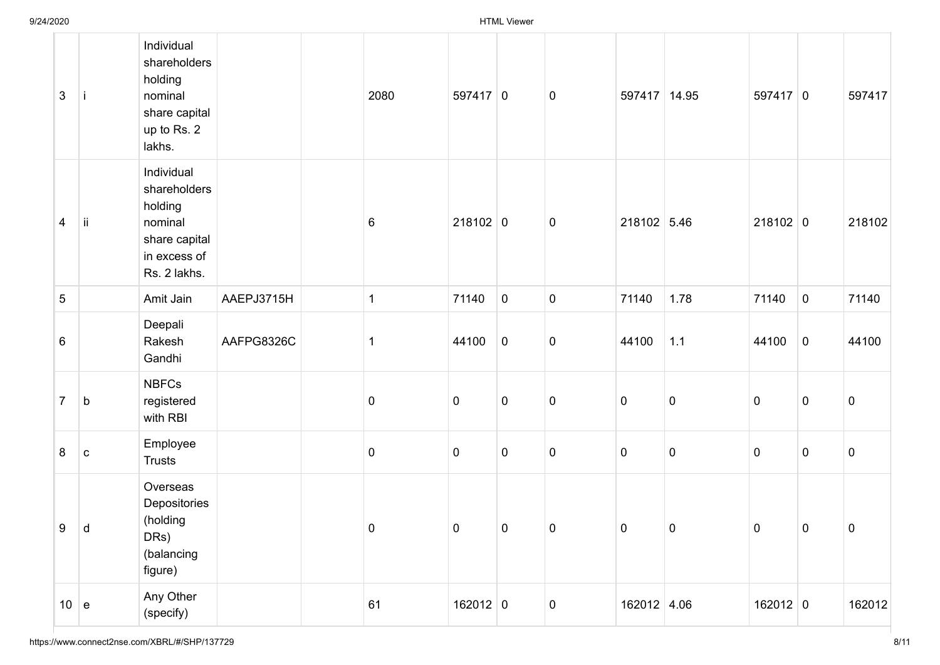| $\mathbf{3}$   |             | Individual<br>shareholders<br>holding<br>nominal<br>share capital<br>up to Rs. 2<br>lakhs.        |            | 2080         | $597417$ 0     |                  | $\mathbf 0$ | 597417 14.95   |                | $597417$ 0   |                | 597417      |
|----------------|-------------|---------------------------------------------------------------------------------------------------|------------|--------------|----------------|------------------|-------------|----------------|----------------|--------------|----------------|-------------|
| 4              | ji          | Individual<br>shareholders<br>holding<br>nominal<br>share capital<br>in excess of<br>Rs. 2 lakhs. |            | $\,6$        | $218102$ 0     |                  | $\pmb{0}$   | 218102 5.46    |                | $218102$ 0   |                | 218102      |
| 5              |             | Amit Jain                                                                                         | AAEPJ3715H | $\mathbf{1}$ | 71140          | $\mathbf 0$      | $\mathbf 0$ | 71140          | 1.78           | 71140        | $\overline{0}$ | 71140       |
| $\,6\,$        |             | Deepali<br>Rakesh<br>Gandhi                                                                       | AAFPG8326C | 1            | 44100          | $\boldsymbol{0}$ | $\pmb{0}$   | 44100          | $1.1$          | 44100        | $\overline{0}$ | 44100       |
| $\overline{7}$ | $\mathsf b$ | <b>NBFCs</b><br>registered<br>with RBI                                                            |            | $\pmb{0}$    | $\mathbf 0$    | $\pmb{0}$        | $\pmb{0}$   | $\mathbf 0$    | $\pmb{0}$      | $\pmb{0}$    | $\mathbf 0$    | 0           |
| 8              | $\mathbf C$ | Employee<br><b>Trusts</b>                                                                         |            | $\pmb{0}$    | $\mathbf 0$    | $\mathbf 0$      | $\pmb{0}$   | $\mathbf 0$    | $\pmb{0}$      | $\pmb{0}$    | $\mathbf 0$    | $\pmb{0}$   |
| 9              | d           | Overseas<br>Depositories<br>(holding<br>DRs)<br>(balancing<br>figure)                             |            | $\mathbf 0$  | $\overline{0}$ | $\overline{0}$   | $\mathbf 0$ | $\overline{0}$ | $\overline{0}$ | $\mathbf{0}$ | $\overline{0}$ | $\mathbf 0$ |
| 10  e          |             | Any Other<br>(specify)                                                                            |            | 61           | $162012$ 0     |                  | $\mathbf 0$ | 162012 4.06    |                | $162012$ 0   |                | 162012      |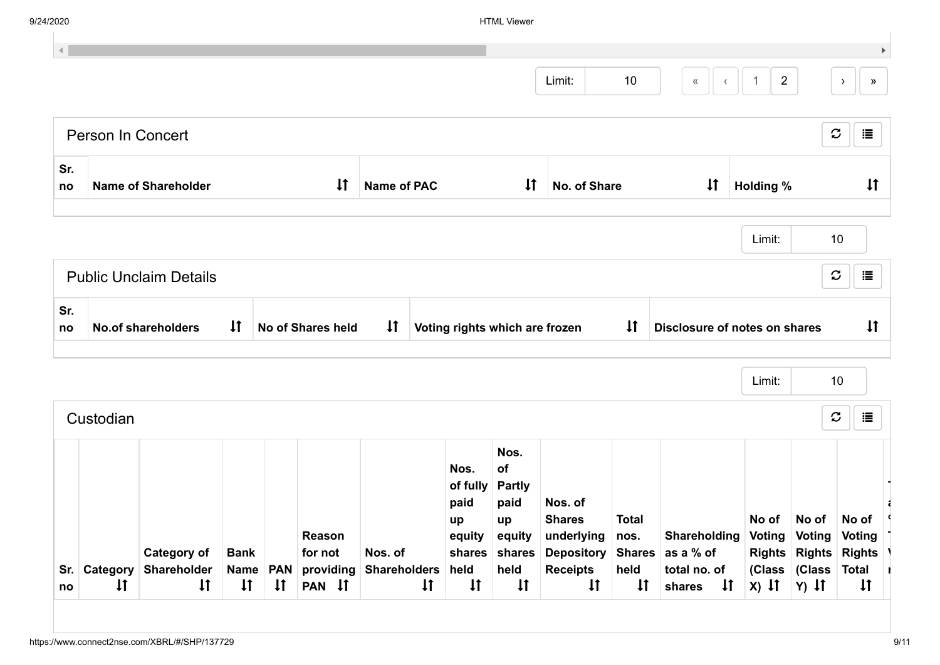| 9/24/2020        |                   |                                   |                         |  |                                |                                |                                                         | <b>HTML Viewer</b>                         |                                                                                                        |                              |                               |                  |                                                                                            |                                 |
|------------------|-------------------|-----------------------------------|-------------------------|--|--------------------------------|--------------------------------|---------------------------------------------------------|--------------------------------------------|--------------------------------------------------------------------------------------------------------|------------------------------|-------------------------------|------------------|--------------------------------------------------------------------------------------------|---------------------------------|
|                  |                   |                                   |                         |  |                                |                                |                                                         |                                            |                                                                                                        |                              |                               |                  |                                                                                            |                                 |
|                  |                   |                                   |                         |  |                                |                                |                                                         |                                            | Limit:                                                                                                 | 10                           |                               | $\overline{2}$   |                                                                                            | $\rightarrow$                   |
|                  | Person In Concert |                                   |                         |  |                                |                                |                                                         |                                            |                                                                                                        |                              |                               |                  |                                                                                            | $\boldsymbol{\mathcal{C}}$<br>這 |
| Sr.<br>no        |                   | <b>Name of Shareholder</b>        |                         |  | $\downarrow$                   | <b>Name of PAC</b>             |                                                         | $\downarrow$                               | No. of Share                                                                                           |                              | $\downarrow$                  | <b>Holding %</b> |                                                                                            | $\downarrow$                    |
|                  |                   |                                   |                         |  |                                |                                |                                                         |                                            |                                                                                                        |                              |                               | Limit:           |                                                                                            | 10                              |
|                  |                   |                                   |                         |  |                                |                                |                                                         |                                            |                                                                                                        |                              |                               |                  |                                                                                            |                                 |
|                  |                   | <b>Public Unclaim Details</b>     |                         |  |                                |                                |                                                         |                                            |                                                                                                        |                              |                               |                  |                                                                                            | $\mathcal{C}$                   |
|                  |                   | <b>No.of shareholders</b>         | $\downarrow$            |  | <b>No of Shares held</b>       | $\downarrow$                   | Voting rights which are frozen                          |                                            |                                                                                                        | $\downarrow$                 | Disclosure of notes on shares |                  |                                                                                            |                                 |
|                  |                   |                                   |                         |  |                                |                                |                                                         |                                            |                                                                                                        |                              |                               | Limit:           |                                                                                            | 10                              |
|                  | Custodian         |                                   |                         |  |                                |                                |                                                         |                                            |                                                                                                        |                              |                               |                  |                                                                                            | $\mathcal{C}$                   |
| Sr.<br>no<br>Sr. | Category          | <b>Category of</b><br>Shareholder | <b>Bank</b><br>Name PAN |  | Reason<br>for not<br>providing | Nos. of<br><b>Shareholders</b> | Nos.<br>of fully Partly<br>paid<br>up<br>equity<br>held | Nos.<br>of<br>paid<br>up<br>equity<br>held | Nos. of<br><b>Shares</b><br>underlying<br>shares shares Depository Shares as a % of<br><b>Receipts</b> | <b>Total</b><br>nos.<br>held | Shareholding<br>total no. of  |                  | No of No of No of<br>Voting Voting Voting<br>Rights Rights Rights \<br>(Class (Class Total | 這<br>$\downarrow$<br>這          |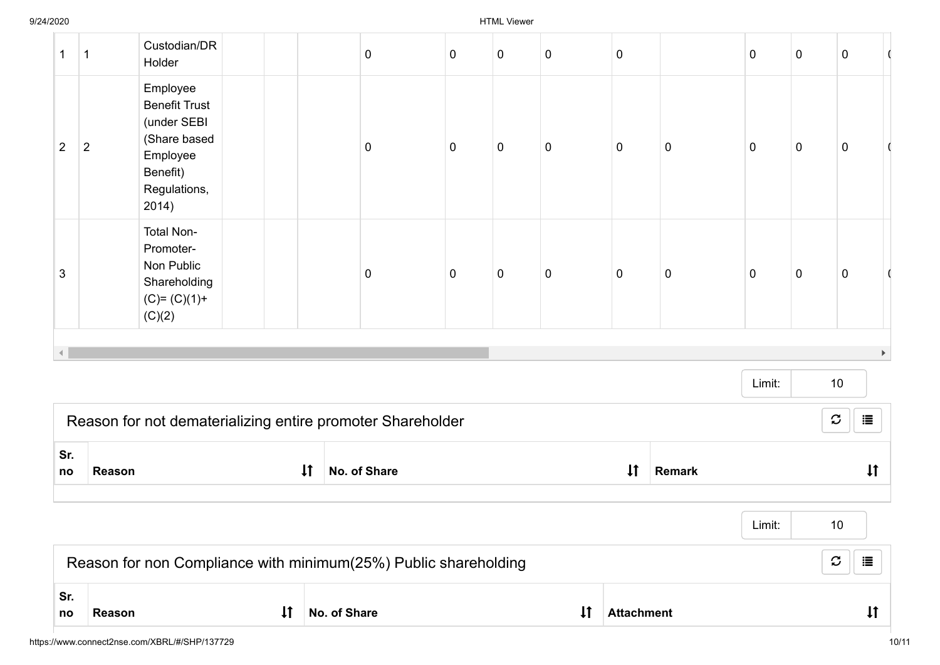| $\boldsymbol{\mathcal{C}}$<br>這<br>Reason for non Compliance with minimum(25%) Public shareholding<br>Sr. |                |                                                                                                                  |              |              |           |                |           |                |               |           |           |                                 |                       |
|-----------------------------------------------------------------------------------------------------------|----------------|------------------------------------------------------------------------------------------------------------------|--------------|--------------|-----------|----------------|-----------|----------------|---------------|-----------|-----------|---------------------------------|-----------------------|
|                                                                                                           |                |                                                                                                                  |              |              |           |                |           |                |               | Limit:    |           | 10                              |                       |
| Sr.<br>no                                                                                                 | Reason         |                                                                                                                  | $\downarrow$ | No. of Share |           |                |           | $\downarrow$   | <b>Remark</b> |           |           | $\downarrow$                    |                       |
|                                                                                                           |                | Reason for not dematerializing entire promoter Shareholder                                                       |              |              |           |                |           |                |               |           |           | $\boldsymbol{\mathcal{C}}$<br>這 |                       |
|                                                                                                           |                |                                                                                                                  |              |              |           |                |           |                |               | Limit:    |           | 10                              |                       |
|                                                                                                           |                | Shareholding<br>$(C)= (C)(1) +$<br>(C)(2)                                                                        |              |              |           |                |           |                |               |           |           |                                 | $\blacktriangleright$ |
| $\sqrt{3}$                                                                                                |                | <b>Total Non-</b><br>Promoter-<br>Non Public                                                                     |              | $\pmb{0}$    | $\pmb{0}$ | $\overline{0}$ | $\pmb{0}$ | $\overline{0}$ | $\pmb{0}$     | 0         | $\pmb{0}$ | $\pmb{0}$                       |                       |
| $\overline{2}$                                                                                            | $\overline{2}$ | Employee<br><b>Benefit Trust</b><br>(under SEBI<br>(Share based<br>Employee<br>Benefit)<br>Regulations,<br>2014) |              | 0            | $\pmb{0}$ | $\pmb{0}$      | $\pmb{0}$ | $\mathbf 0$    | $\pmb{0}$     | 0         | $\pmb{0}$ | $\pmb{0}$                       |                       |
| $\mathbf 1$                                                                                               | $\mathbf 1$    | Custodian/DR<br>Holder                                                                                           |              | $\pmb{0}$    | $\pmb{0}$ | $\mathbf 0$    | $\pmb{0}$ | $\pmb{0}$      |               | $\pmb{0}$ | $\pmb{0}$ | $\pmb{0}$                       | -0                    |

no Reason 11 No. of Share 11 Attachment 11 Attachment